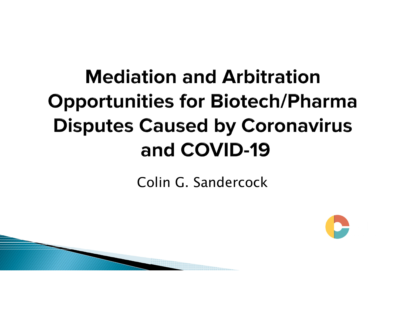# **Mediation and Arbitration Opportunities for Biotech/Pharma Disputes Caused by Coronavirus** and COVID-19

Colin G. Sandercock

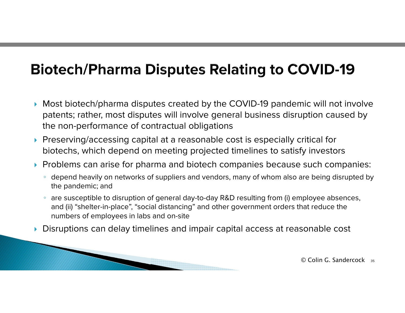## **Biotech/Pharma Disputes Relating to COVID-19**

- $\blacktriangleright$  Most biotech/pharma disputes created by the COVID-19 pandemic will not involve patents; rather, most disputes will involve general business disruption caused by the non-performance of contractual obligations
- $\blacktriangleright$  Preserving/accessing capital at a reasonable cost is especially critical for biotechs, which depend on meeting projected timelines to satisfy investors
- $\blacktriangleright$  Problems can arise for pharma and biotech companies because such companies:
	- $\,^{\circ}\,$  depend heavily on networks of suppliers and vendors, many of whom also are being disrupted by the pandemic; and
	- $\,^{\circ}\,$  are susceptible to disruption of general day-to-day R&D resulting from (i) employee absences, and (ii) "shelter-in-place", "social distancing" and other government orders that reduce the numbers of employees in labs and on-site
- ▶ Disruptions can delay timelines and impair capital access at reasonable cost

 $\odot$  Colin G. Sandercock  $_35$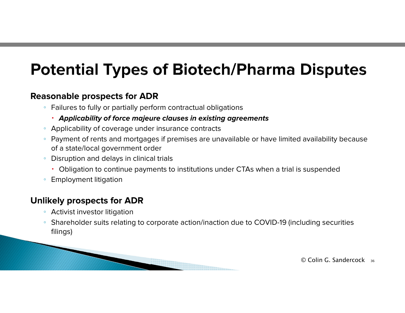# **Potential Types of Biotech/Pharma Disputes**

#### **Reasonable prospects for ADR**

- $\,^{\circ}\,$  Failures to fully or partially perform contractual obligations
	- **Applicability of force majeure clauses in existing agreements**
- Applicability of coverage under insurance contracts
- $\,^{\circ}\,$  Payment of rents and mortgages if premises are unavailable or have limited availability because of a state/local government order
- Disruption and delays in clinical trials
	- Obligation to continue payments to institutions under CTAs when a trial is suspended
- Employment litigation

#### **Unlikely prospects for ADR**

- Activist investor litigation
- $\circ$  Shareholder suits relating to corporate action/inaction due to COVID-19 (including securities filings)



© Colin G. Sandercock <sup>36</sup>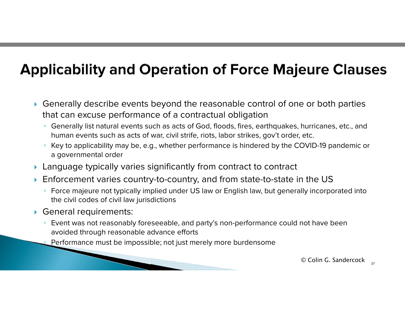# **Applicability and Operation of Force Majeure Clauses**

- $\blacktriangleright$  Generally describe events beyond the reasonable control of one or both parties that can excuse performance of a contractual obligation
	- $\, \circ \,$  Generally list natural events such as acts of God, floods, fires, earthquakes, hurricanes, etc., and human events such as acts of war, civil strife, riots, labor strikes, gov't order, etc.
	- Key to applicability may be, e.g., whether performance is hindered by the COVID-19 pandemic or a governmental order
- $\blacktriangleright$  Language typically varies significantly from contract to contract
- $\blacktriangleright$  Enforcement varies country-to-country, and from state-to-state in the US
	- $\,^{\circ}\,$  Force majeure not typically implied under US law or English law, but generally incorporated into the civil codes of civil law jurisdictions
- General requirements:
	- Event was not reasonably foreseeable, and party's non-performance could not have been avoided through reasonable advance efforts
	- Performance must be impossible; not just merely more burdensome

© Colin G. Sandercock 37